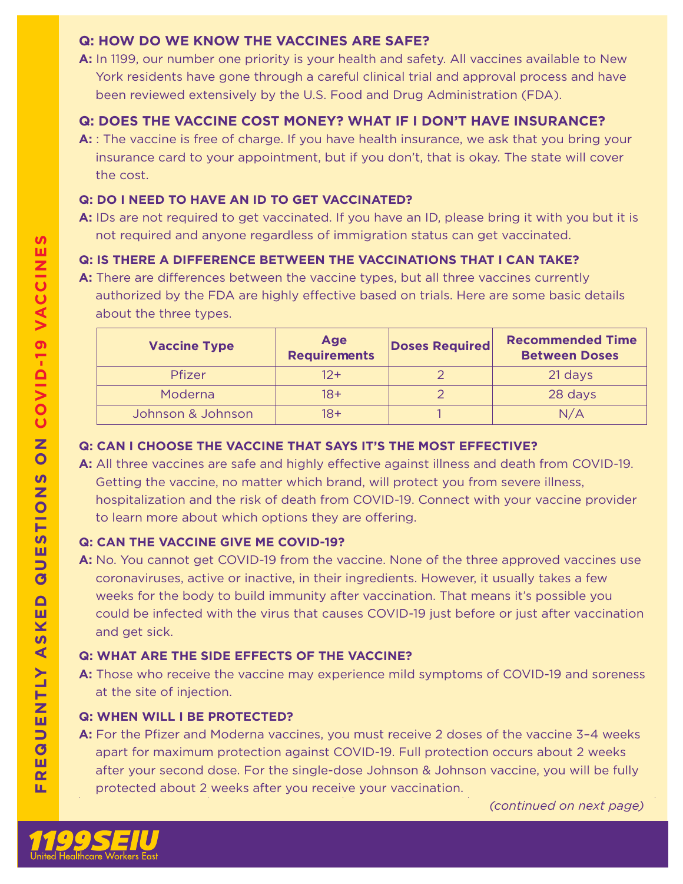## **Q: HOW DO WE KNOW THE VACCINES ARE SAFE?**

**A:** In 1199, our number one priority is your health and safety. All vaccines available to New York residents have gone through a careful clinical trial and approval process and have been reviewed extensively by the U.S. Food and Drug Administration (FDA).

# **Q: DOES THE VACCINE COST MONEY? WHAT IF I DON'T HAVE INSURANCE?**

**A:** : The vaccine is free of charge. If you have health insurance, we ask that you bring your insurance card to your appointment, but if you don't, that is okay. The state will cover the cost.

## **Q: DO I NEED TO HAVE AN ID TO GET VACCINATED?**

**A:** IDs are not required to get vaccinated. If you have an ID, please bring it with you but it is not required and anyone regardless of immigration status can get vaccinated.

## **Q: IS THERE A DIFFERENCE BETWEEN THE VACCINATIONS THAT I CAN TAKE?**

A: There are differences between the vaccine types, but all three vaccines currently authorized by the FDA are highly effective based on trials. Here are some basic details about the three types.

| <b>Vaccine Type</b> | Age<br><b>Requirements</b> | <b>Doses Required</b> | <b>Recommended Time</b><br><b>Between Doses</b> |
|---------------------|----------------------------|-----------------------|-------------------------------------------------|
| <b>Pfizer</b>       | $12 +$                     |                       | 21 days                                         |
| Moderna             | $18+$                      |                       | 28 days                                         |
| Johnson & Johnson   | $18+$                      |                       | N/A                                             |

### **Q: CAN I CHOOSE THE VACCINE THAT SAYS IT'S THE MOST EFFECTIVE?**

A: All three vaccines are safe and highly effective against illness and death from COVID-19. Getting the vaccine, no matter which brand, will protect you from severe illness, hospitalization and the risk of death from COVID-19. Connect with your vaccine provider to learn more about which options they are offering.

### **Q: CAN THE VACCINE GIVE ME COVID-19?**

**A:** No. You cannot get COVID-19 from the vaccine. None of the three approved vaccines use coronaviruses, active or inactive, in their ingredients. However, it usually takes a few weeks for the body to build immunity after vaccination. That means it's possible you could be infected with the virus that causes COVID-19 just before or just after vaccination and get sick.

## **Q: WHAT ARE THE SIDE EFFECTS OF THE VACCINE?**

**A:** Those who receive the vaccine may experience mild symptoms of COVID-19 and soreness at the site of injection.

### **Q: WHEN WILL I BE PROTECTED?**

**A:** For the Pfizer and Moderna vaccines, you must receive 2 doses of the vaccine 3–4 weeks apart for maximum protection against COVID-19. Full protection occurs about 2 weeks after your second dose. For the single-dose Johnson & Johnson vaccine, you will be fully protected about 2 weeks after you receive your vaccination.

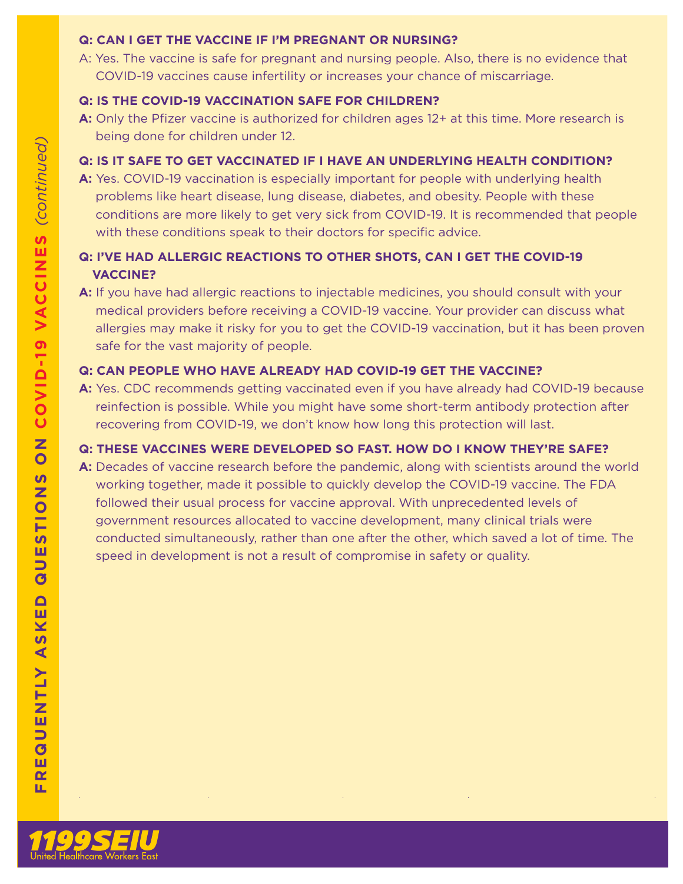#### **Q: CAN I GET THE VACCINE IF I'M PREGNANT OR NURSING?**

A: Yes. The vaccine is safe for pregnant and nursing people. Also, there is no evidence that COVID-19 vaccines cause infertility or increases your chance of miscarriage.

## **Q: IS THE COVID-19 VACCINATION SAFE FOR CHILDREN?**

**A:** Only the Pfizer vaccine is authorized for children ages 12+ at this time. More research is being done for children under 12.

## **Q: IS IT SAFE TO GET VACCINATED IF I HAVE AN UNDERLYING HEALTH CONDITION?**

**A:** Yes. COVID-19 vaccination is especially important for people with underlying health problems like heart disease, lung disease, diabetes, and obesity. People with these conditions are more likely to get very sick from COVID-19. It is recommended that people with these conditions speak to their doctors for specific advice.

# **Q: I'VE HAD ALLERGIC REACTIONS TO OTHER SHOTS, CAN I GET THE COVID-19 VACCINE?**

**A:** If you have had allergic reactions to injectable medicines, you should consult with your medical providers before receiving a COVID-19 vaccine. Your provider can discuss what allergies may make it risky for you to get the COVID-19 vaccination, but it has been proven safe for the vast majority of people.

## **Q: CAN PEOPLE WHO HAVE ALREADY HAD COVID-19 GET THE VACCINE?**

**A:** Yes. CDC recommends getting vaccinated even if you have already had COVID-19 because reinfection is possible. While you might have some short-term antibody protection after recovering from COVID-19, we don't know how long this protection will last.

# **Q: THESE VACCINES WERE DEVELOPED SO FAST. HOW DO I KNOW THEY'RE SAFE?**

**A:** Decades of vaccine research before the pandemic, along with scientists around the world working together, made it possible to quickly develop the COVID-19 vaccine. The FDA followed their usual process for vaccine approval. With unprecedented levels of government resources allocated to vaccine development, many clinical trials were conducted simultaneously, rather than one after the other, which saved a lot of time. The speed in development is not a result of compromise in safety or quality.



щ